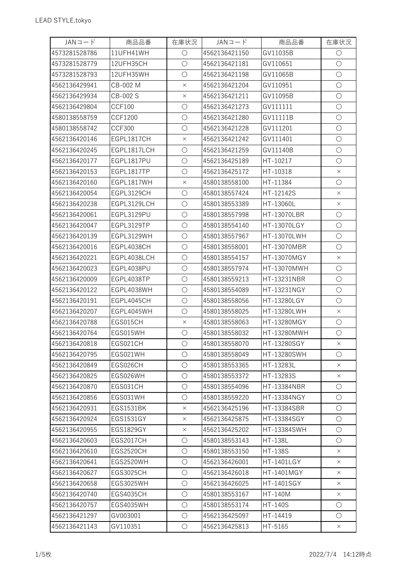| $JAN =  K$    | 商品品番             | 在庫状況       | $JAN =  K$    | 商品品番               | 在庫状況       |
|---------------|------------------|------------|---------------|--------------------|------------|
| 4573281528786 | 11UFH41WH        | $\bigcirc$ | 4562136421150 | GV11035B           | $\bigcirc$ |
| 4573281528779 | 12UFH35CH        | $\bigcirc$ | 4562136421181 | GV110651           | $\bigcirc$ |
| 4573281528793 | 12UFH35WH        | $\bigcirc$ | 4562136421198 | GV11065B           | $\bigcirc$ |
| 4562136429941 | CB-002 M         | $\times$   | 4562136421204 | GV110951           | $\bigcirc$ |
| 4562136429934 | CB-002 S         | $\times$   | 4562136421211 | GV11095B           | $\bigcirc$ |
| 4562136429804 | <b>CCF100</b>    | $\bigcirc$ | 4562136421273 | GV111111           | $\bigcirc$ |
| 4580138558759 | <b>CCF1200</b>   | $\bigcirc$ | 4562136421280 | GV11111B           | $\bigcirc$ |
| 4580138558742 | <b>CCF300</b>    | $\bigcirc$ | 4562136421228 | GV111201           | $\bigcirc$ |
| 4562136420146 | EGPL1817CH       | $\times$   | 4562136421242 | GV111401           | $\bigcirc$ |
| 4562136420245 | EGPL1817LCH      | $\bigcirc$ | 4562136421259 | GV11140B           | $\bigcirc$ |
| 4562136420177 | EGPL1817PU       | $\bigcirc$ | 4562136425189 | HT-10217           | $\bigcirc$ |
| 4562136420153 | EGPL1817TP       | $\bigcirc$ | 4562136425172 | HT-10318           | $\times$   |
| 4562136420160 | EGPL1817WH       | $\times$   | 4580138558100 | HT-11384           | $\bigcirc$ |
| 4562136420054 | EGPL3129CH       | $\bigcirc$ | 4580138557424 | HT-12142S          | $\times$   |
| 4562136420238 | EGPL3129LCH      | $\bigcirc$ | 4580138553389 | HT-13060L          | $\times$   |
| 4562136420061 | EGPL3129PU       | $\bigcirc$ | 4580138557998 | HT-13070LBR        | $\bigcirc$ |
| 4562136420047 | EGPL3129TP       | $\bigcirc$ | 4580138554140 | HT-13070LGY        | $\bigcirc$ |
| 4562136420139 | EGPL3129WH       | $\bigcirc$ | 4580138557967 | HT-13070LWH        | $\bigcirc$ |
| 4562136420016 | EGPL4038CH       | $\bigcirc$ | 4580138558001 | HT-13070MBR        | $\bigcirc$ |
| 4562136420221 | EGPL4038LCH      | $\bigcirc$ | 4580138554157 | HT-13070MGY        | $\times$   |
| 4562136420023 | EGPL4038PU       | $\bigcirc$ | 4580138557974 | HT-13070MWH        | $\bigcirc$ |
| 4562136420009 | EGPL4038TP       | $\bigcirc$ | 4580138559213 | HT-13231NBR        | $\bigcirc$ |
| 4562136420122 | EGPL4038WH       | $\bigcirc$ | 4580138554089 | HT-13231NGY        | $\bigcirc$ |
| 4562136420191 | EGPL4045CH       | $\bigcirc$ | 4580138558056 | HT-13280LGY        | $\bigcirc$ |
| 4562136420207 | EGPL4045WH       | $\bigcirc$ | 4580138558025 | HT-13280LWH        | $\times$   |
| 4562136420788 | EGS015CH         | $\times$   | 4580138558063 | HT-13280MGY        | $\bigcirc$ |
| 4562136420764 | EGS015WH         | $\bigcirc$ | 4580138558032 | HT-13280MWH        | $\bigcirc$ |
| 4562136420818 | EGS021CH         | $\circ$    | 4580138558070 | <b>HT-13280SGY</b> | $\times$   |
| 4562136420795 | EGS021WH         | $\bigcirc$ | 4580138558049 | HT-13280SWH        | $\bigcirc$ |
| 4562136420849 | EGS026CH         | $\bigcirc$ | 4580138553365 | HT-13283L          | $\times$   |
| 4562136420825 | EGS026WH         | $\bigcirc$ | 4580138553372 | HT-13283S          | $\times$   |
| 4562136420870 | EGS031CH         | $\bigcirc$ | 4580138554096 | HT-13384NBR        | $\bigcirc$ |
| 4562136420856 | EGS031WH         | $\bigcirc$ | 4580138559220 | HT-13384NGY        | $\bigcirc$ |
| 4562136420931 | <b>EGS1531BK</b> | $\times$   | 4562136425196 | HT-13384SBR        | $\bigcirc$ |
| 4562136420924 | EGS1531GY        | $\times$   | 4562136425875 | HT-13384SGY        | $\bigcirc$ |
| 4562136420955 | EGS1829GY        | $\times$   | 4562136425202 | HT-13384SWH        | $\bigcirc$ |
| 4562136420603 | <b>EGS2017CH</b> | $\bigcirc$ | 4580138553143 | <b>HT-138L</b>     | $\bigcirc$ |
| 4562136420610 | <b>EGS2520CH</b> | $\bigcirc$ | 4580138553150 | <b>HT-138S</b>     | $\times$   |
| 4562136420641 | <b>EGS2520WH</b> | $\bigcirc$ | 4562136426001 | HT-1401LGY         | $\times$   |
| 4562136420627 | <b>EGS3025CH</b> | $\bigcirc$ | 4562136426018 | HT-1401MGY         | $\times$   |
| 4562136420658 | EGS3025WH        | $\bigcirc$ | 4562136426025 | <b>HT-1401SGY</b>  | $\times$   |
| 4562136420740 | <b>EGS4035CH</b> | $\bigcirc$ | 4580138553167 | HT-140M            | $\times$   |
| 4562136420757 | <b>EGS4035WH</b> | $\bigcirc$ | 4580138553174 | <b>HT-140S</b>     | $\bigcirc$ |
| 4562136421297 | GV003001         | $\bigcirc$ | 4562136425097 | HT-14419           | $\bigcirc$ |
| 4562136421143 | GV110351         | $\bigcirc$ | 4562136425813 | HT-5165            | $\times$   |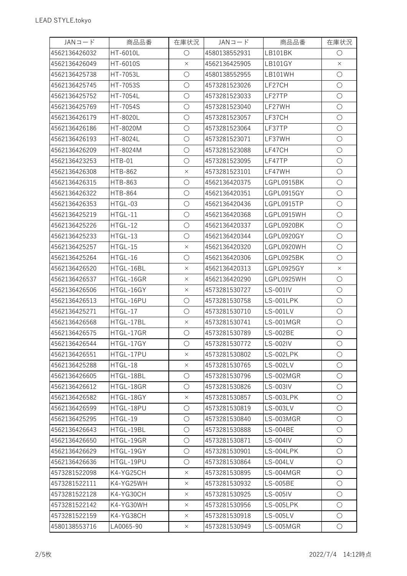| $JAN =  K$    | 商品品番            | 在庫状況       | $JAN =  K$    | 商品品番            | 在庫状況                |
|---------------|-----------------|------------|---------------|-----------------|---------------------|
| 4562136426032 | <b>HT-6010L</b> | $\bigcirc$ | 4580138552931 | LB101BK         | $\bigcirc$          |
| 4562136426049 | HT-6010S        | $\times$   | 4562136425905 | LB101GY         | $\times$            |
| 4562136425738 | HT-7053L        | $\bigcirc$ | 4580138552955 | LB101WH         | $\bigcirc$          |
| 4562136425745 | HT-7053S        | $\bigcirc$ | 4573281523026 | LF27CH          | $\bigcirc$          |
| 4562136425752 | HT-7054L        | $\bigcirc$ | 4573281523033 | LF27TP          | $\bigcirc$          |
| 4562136425769 | <b>HT-7054S</b> | $\bigcirc$ | 4573281523040 | LF27WH          | $\bigcirc$          |
| 4562136426179 | HT-8020L        | $\bigcirc$ | 4573281523057 | LF37CH          | $\bigcirc$          |
| 4562136426186 | HT-8020M        | $\bigcirc$ | 4573281523064 | LF37TP          | $\bigcirc$          |
| 4562136426193 | <b>HT-8024L</b> | $\bigcirc$ | 4573281523071 | LF37WH          | $\bigcirc$          |
| 4562136426209 | HT-8024M        | $\bigcirc$ | 4573281523088 | LF47CH          | $\bigcirc$          |
| 4562136423253 | HTB-01          | $\bigcirc$ | 4573281523095 | LF47TP          | $\bigcirc$          |
| 4562136426308 | <b>HTB-862</b>  | $\times$   | 4573281523101 | LF47WH          | $\bigcirc$          |
| 4562136426315 | <b>HTB-863</b>  | $\bigcirc$ | 4562136420375 | LGPL0915BK      | $\bigcirc$          |
| 4562136426322 | <b>HTB-864</b>  | $\bigcirc$ | 4562136420351 | LGPL0915GY      | $\bigcirc$          |
| 4562136426353 | HTGL-03         | $\bigcirc$ | 4562136420436 | LGPL0915TP      | $\bigcirc$          |
| 4562136425219 | HTGL-11         | $\bigcirc$ | 4562136420368 | LGPL0915WH      | $\bigcirc$          |
| 4562136425226 | HTGL-12         | $\bigcirc$ | 4562136420337 | LGPL0920BK      | $\bigcirc$          |
| 4562136425233 | HTGL-13         | $\bigcirc$ | 4562136420344 | LGPL0920GY      | $\bigcirc$          |
| 4562136425257 | HTGL-15         | $\times$   | 4562136420320 | LGPL0920WH      | $\bigcirc$          |
| 4562136425264 | HTGL-16         | $\bigcirc$ | 4562136420306 | LGPL0925BK      | $\bigcirc$          |
| 4562136426520 | HTGL-16BL       | $\times$   | 4562136420313 | LGPL0925GY      | $\times$            |
| 4562136426537 | HTGL-16GR       | $\times$   | 4562136420290 | LGPL0925WH      | $\bigcirc$          |
| 4562136426506 | HTGL-16GY       | $\times$   | 4573281530727 | LS-001IV        | $\bigcirc$          |
| 4562136426513 | HTGL-16PU       | $\bigcirc$ | 4573281530758 | LS-001LPK       | $\bigcirc$          |
| 4562136425271 | HTGL-17         | $\bigcirc$ | 4573281530710 | <b>LS-001LV</b> | $\bigcirc$          |
| 4562136426568 | HTGL-17BL       | $\times$   | 4573281530741 | LS-001MGR       | $\bigcirc$          |
| 4562136426575 | HTGL-17GR       | $\bigcirc$ | 4573281530789 | <b>LS-002BE</b> | $\bigcirc$          |
| 4562136426544 | HTGL-17GY       | Ő          | 4573281530772 | LS-002IV        | $\circlearrowright$ |
| 4562136426551 | HTGL-17PU       | $\times$   | 4573281530802 | LS-002LPK       | $\bigcirc$          |
| 4562136425288 | HTGL-18         | $\times$   | 4573281530765 | LS-002LV        | $\bigcirc$          |
| 4562136426605 | HTGL-18BL       | $\bigcirc$ | 4573281530796 | LS-002MGR       | $\bigcirc$          |
| 4562136426612 | HTGL-18GR       | $\bigcirc$ | 4573281530826 | LS-003IV        | $\bigcirc$          |
| 4562136426582 | HTGL-18GY       | $\times$   | 4573281530857 | LS-003LPK       | $\bigcirc$          |
| 4562136426599 | HTGL-18PU       | $\bigcirc$ | 4573281530819 | LS-003LV        | $\circ$             |
| 4562136425295 | HTGL-19         | $\bigcirc$ | 4573281530840 | LS-003MGR       | $\bigcirc$          |
| 4562136426643 | HTGL-19BL       | $\bigcirc$ | 4573281530888 | LS-004BE        | $\bigcirc$          |
| 4562136426650 | HTGL-19GR       | $\bigcirc$ | 4573281530871 | LS-004IV        | $\bigcirc$          |
| 4562136426629 | HTGL-19GY       | $\bigcirc$ | 4573281530901 | LS-004LPK       | $\bigcirc$          |
| 4562136426636 | HTGL-19PU       | $\bigcirc$ | 4573281530864 | <b>LS-004LV</b> | $\bigcirc$          |
| 4573281522098 | K4-YG25CH       | $\times$   | 4573281530895 | LS-004MGR       | $\bigcirc$          |
| 4573281522111 | K4-YG25WH       | $\times$   | 4573281530932 | LS-005BE        | $\bigcirc$          |
| 4573281522128 | K4-YG30CH       | $\times$   | 4573281530925 | LS-005IV        | $\bigcirc$          |
| 4573281522142 | K4-YG30WH       | $\times$   | 4573281530956 | LS-005LPK       | $\bigcirc$          |
| 4573281522159 | K4-YG38CH       | $\times$   | 4573281530918 | <b>LS-005LV</b> | $\bigcirc$          |
| 4580138553716 | LA0065-90       | X          | 4573281530949 | LS-005MGR       | $\bigcirc$          |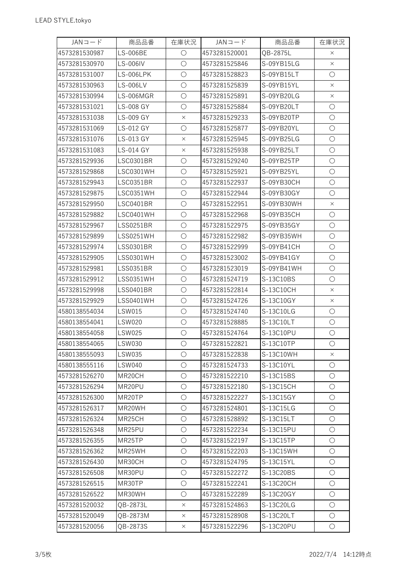| $JAN =  K$    | 商品品番             | 在庫状況       | $JAN = -K$    | 商品品番       | 在庫状況       |
|---------------|------------------|------------|---------------|------------|------------|
| 4573281530987 | <b>LS-006BE</b>  | $\bigcirc$ | 4573281520001 | QB-2875L   | $\times$   |
| 4573281530970 | LS-006IV         | $\bigcirc$ | 4573281525846 | S-09YB15LG | $\times$   |
| 4573281531007 | LS-006LPK        | $\bigcirc$ | 4573281528823 | S-09YB15LT | $\bigcirc$ |
| 4573281530963 | <b>LS-006LV</b>  | $\bigcirc$ | 4573281525839 | S-09YB15YL | $\times$   |
| 4573281530994 | <b>LS-006MGR</b> | $\bigcirc$ | 4573281525891 | S-09YB20LG | $\times$   |
| 4573281531021 | <b>LS-008 GY</b> | $\bigcirc$ | 4573281525884 | S-09YB20LT | $\bigcirc$ |
| 4573281531038 | LS-009 GY        | $\times$   | 4573281529233 | S-09YB20TP | $\bigcirc$ |
| 4573281531069 | LS-012 GY        | $\bigcirc$ | 4573281525877 | S-09YB20YL | $\bigcirc$ |
| 4573281531076 | LS-013 GY        | $\times$   | 4573281525945 | S-09YB25LG | $\bigcirc$ |
| 4573281531083 | LS-014 GY        | $\times$   | 4573281525938 | S-09YB25LT | $\bigcirc$ |
| 4573281529936 | <b>LSC0301BR</b> | $\bigcirc$ | 4573281529240 | S-09YB25TP | $\bigcirc$ |
| 4573281529868 | <b>LSC0301WH</b> | $\bigcirc$ | 4573281525921 | S-09YB25YL | $\bigcirc$ |
| 4573281529943 | <b>LSC0351BR</b> | $\bigcirc$ | 4573281522937 | S-09YB30CH | $\bigcirc$ |
| 4573281529875 | LSC0351WH        | $\bigcirc$ | 4573281522944 | S-09YB30GY | $\bigcirc$ |
| 4573281529950 | LSC0401BR        | $\bigcirc$ | 4573281522951 | S-09YB30WH | $\times$   |
| 4573281529882 | LSC0401WH        | $\bigcirc$ | 4573281522968 | S-09YB35CH | $\bigcirc$ |
| 4573281529967 | <b>LSS0251BR</b> | $\bigcirc$ | 4573281522975 | S-09YB35GY | $\bigcirc$ |
| 4573281529899 | <b>LSS0251WH</b> | $\bigcirc$ | 4573281522982 | S-09YB35WH | $\bigcirc$ |
| 4573281529974 | <b>LSS0301BR</b> | $\bigcirc$ | 4573281522999 | S-09YB41CH | $\bigcirc$ |
| 4573281529905 | <b>LSS0301WH</b> | $\bigcirc$ | 4573281523002 | S-09YB41GY | $\bigcirc$ |
| 4573281529981 | <b>LSS0351BR</b> | $\bigcirc$ | 4573281523019 | S-09YB41WH | $\bigcirc$ |
| 4573281529912 | <b>LSS0351WH</b> | $\bigcirc$ | 4573281524719 | S-13C10BS  | $\bigcirc$ |
| 4573281529998 | <b>LSS0401BR</b> | $\bigcirc$ | 4573281522814 | S-13C10CH  | $\times$   |
| 4573281529929 | <b>LSS0401WH</b> | $\bigcirc$ | 4573281524726 | S-13C10GY  | $\times$   |
| 4580138554034 | <b>LSW015</b>    | $\bigcirc$ | 4573281524740 | S-13C10LG  | O          |
| 4580138554041 | <b>LSW020</b>    | $\bigcirc$ | 4573281528885 | S-13C10LT  | $\bigcirc$ |
| 4580138554058 | <b>LSW025</b>    | $\bigcirc$ | 4573281524764 | S-13C10PU  | $\bigcirc$ |
| 4580138554065 | <b>LSW030</b>    | $\bigcirc$ | 4573281522821 | S-13C10TP  | $\bigcirc$ |
| 4580138555093 | <b>LSW035</b>    | $\bigcirc$ | 4573281522838 | S-13C10WH  | $\times$   |
| 4580138555116 | <b>LSW040</b>    | $\bigcirc$ | 4573281524733 | S-13C10YL  | $\bigcirc$ |
| 4573281526270 | MR20CH           | $\bigcirc$ | 4573281522210 | S-13C15BS  | $\bigcirc$ |
| 4573281526294 | MR20PU           | $\bigcirc$ | 4573281522180 | S-13C15CH  | $\bigcirc$ |
| 4573281526300 | MR20TP           | $\bigcirc$ | 4573281522227 | S-13C15GY  | $\bigcirc$ |
| 4573281526317 | MR20WH           | $\bigcirc$ | 4573281524801 | S-13C15LG  | $\bigcirc$ |
| 4573281526324 | MR25CH           | $\bigcirc$ | 4573281528892 | S-13C15LT  | O          |
| 4573281526348 | MR25PU           | $\bigcirc$ | 4573281522234 | S-13C15PU  | $\bigcirc$ |
| 4573281526355 | MR25TP           | $\bigcirc$ | 4573281522197 | S-13C15TP  | $\bigcirc$ |
| 4573281526362 | MR25WH           | $\bigcirc$ | 4573281522203 | S-13C15WH  | $\bigcirc$ |
| 4573281526430 | MR30CH           | $\bigcirc$ | 4573281524795 | S-13C15YL  | $\bigcirc$ |
| 4573281526508 | MR30PU           | $\bigcirc$ | 4573281522272 | S-13C20BS  | $\bigcirc$ |
| 4573281526515 | MR30TP           | $\bigcirc$ | 4573281522241 | S-13C20CH  | $\bigcirc$ |
| 4573281526522 | MR30WH           | $\bigcirc$ | 4573281522289 | S-13C20GY  | $\bigcirc$ |
| 4573281520032 | QB-2873L         | $\times$   | 4573281524863 | S-13C20LG  | O          |
| 4573281520049 | QB-2873M         | $\times$   | 4573281528908 | S-13C20LT  | $\bigcirc$ |
| 4573281520056 | QB-2873S         | $\times$   | 4573281522296 | S-13C20PU  | $\bigcirc$ |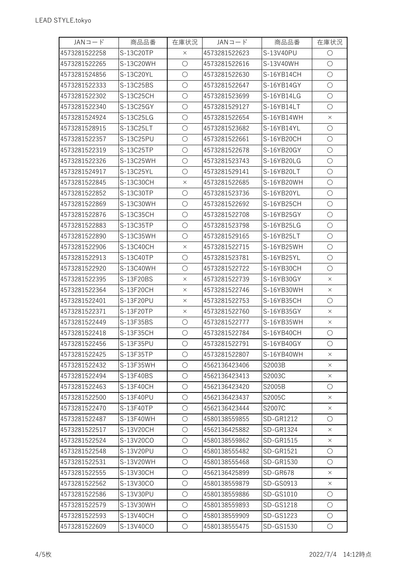| $JAN = -K$    | 商品品番      | 在庫状況       | $JAN =  K$    | 商品品番             | 在庫状況       |
|---------------|-----------|------------|---------------|------------------|------------|
| 4573281522258 | S-13C20TP | $\times$   | 4573281522623 | S-13V40PU        | $\bigcirc$ |
| 4573281522265 | S-13C20WH | $\bigcirc$ | 4573281522616 | S-13V40WH        | $\bigcirc$ |
| 4573281524856 | S-13C20YL | $\bigcirc$ | 4573281522630 | S-16YB14CH       | $\bigcirc$ |
| 4573281522333 | S-13C25BS | $\bigcirc$ | 4573281522647 | S-16YB14GY       | $\bigcirc$ |
| 4573281522302 | S-13C25CH | $\bigcirc$ | 4573281523699 | S-16YB14LG       | $\bigcirc$ |
| 4573281522340 | S-13C25GY | $\bigcirc$ | 4573281529127 | S-16YB14LT       | $\bigcirc$ |
| 4573281524924 | S-13C25LG | $\bigcirc$ | 4573281522654 | S-16YB14WH       | $\times$   |
| 4573281528915 | S-13C25LT | $\bigcirc$ | 4573281523682 | S-16YB14YL       | $\bigcirc$ |
| 4573281522357 | S-13C25PU | $\bigcirc$ | 4573281522661 | S-16YB20CH       | $\bigcirc$ |
| 4573281522319 | S-13C25TP | $\bigcirc$ | 4573281522678 | S-16YB20GY       | $\bigcirc$ |
| 4573281522326 | S-13C25WH | $\bigcirc$ | 4573281523743 | S-16YB20LG       | $\bigcirc$ |
| 4573281524917 | S-13C25YL | $\bigcirc$ | 4573281529141 | S-16YB20LT       | $\bigcirc$ |
| 4573281522845 | S-13C30CH | $\times$   | 4573281522685 | S-16YB20WH       | $\bigcirc$ |
| 4573281522852 | S-13C30TP | $\bigcirc$ | 4573281523736 | S-16YB20YL       | $\bigcirc$ |
| 4573281522869 | S-13C30WH | $\bigcirc$ | 4573281522692 | S-16YB25CH       | $\bigcirc$ |
| 4573281522876 | S-13C35CH | $\bigcirc$ | 4573281522708 | S-16YB25GY       | $\bigcirc$ |
| 4573281522883 | S-13C35TP | $\bigcirc$ | 4573281523798 | S-16YB25LG       | $\bigcirc$ |
| 4573281522890 | S-13C35WH | $\bigcirc$ | 4573281529165 | S-16YB25LT       | $\bigcirc$ |
| 4573281522906 | S-13C40CH | $\times$   | 4573281522715 | S-16YB25WH       | $\bigcirc$ |
| 4573281522913 | S-13C40TP | $\bigcirc$ | 4573281523781 | S-16YB25YL       | $\bigcirc$ |
| 4573281522920 | S-13C40WH | $\bigcirc$ | 4573281522722 | S-16YB30CH       | $\bigcirc$ |
| 4573281522395 | S-13F20BS | $\times$   | 4573281522739 | S-16YB30GY       | $\times$   |
| 4573281522364 | S-13F20CH | $\times$   | 4573281522746 | S-16YB30WH       | $\times$   |
| 4573281522401 | S-13F20PU | $\times$   | 4573281522753 | S-16YB35CH       | $\bigcirc$ |
| 4573281522371 | S-13F20TP | $\times$   | 4573281522760 | S-16YB35GY       | $\times$   |
| 4573281522449 | S-13F35BS | $\bigcirc$ | 4573281522777 | S-16YB35WH       | $\times$   |
| 4573281522418 | S-13F35CH | $\bigcirc$ | 4573281522784 | S-16YB40CH       | $\bigcirc$ |
| 4573281522456 | S-13F35PU | $\bigcirc$ | 4573281522791 | S-16YB40GY       | $\bigcirc$ |
| 4573281522425 | S-13F35TP | $\bigcirc$ | 4573281522807 | S-16YB40WH       | $\times$   |
| 4573281522432 | S-13F35WH | $\bigcirc$ | 4562136423406 | S2003B           | $\times$   |
| 4573281522494 | S-13F40BS | $\bigcirc$ | 4562136423413 | S2003C           | $\times$   |
| 4573281522463 | S-13F40CH | $\bigcirc$ | 4562136423420 | S2005B           | $\bigcirc$ |
| 4573281522500 | S-13F40PU | $\bigcirc$ | 4562136423437 | S2005C           | $\times$   |
| 4573281522470 | S-13F40TP | $\bigcirc$ | 4562136423444 | S2007C           | $\times$   |
| 4573281522487 | S-13F40WH | $\bigcirc$ | 4580138559855 | <b>SD-GR1212</b> | $\bigcirc$ |
| 4573281522517 | S-13V20CH | $\bigcirc$ | 4562136425882 | SD-GR1324        | X          |
| 4573281522524 | S-13V20CO | $\bigcirc$ | 4580138559862 | SD-GR1515        | $\times$   |
| 4573281522548 | S-13V20PU | $\bigcirc$ | 4580138555482 | SD-GR1521        | $\bigcirc$ |
| 4573281522531 | S-13V20WH | $\bigcirc$ | 4580138555468 | SD-GR1530        | $\bigcirc$ |
| 4573281522555 | S-13V30CH | $\bigcirc$ | 4562136425899 | SD-GR678         | $\times$   |
| 4573281522562 | S-13V30CO | $\bigcirc$ | 4580138559879 | SD-GS0913        | $\times$   |
| 4573281522586 | S-13V30PU | $\bigcirc$ | 4580138559886 | SD-GS1010        | $\bigcirc$ |
| 4573281522579 | S-13V30WH | $\bigcirc$ | 4580138559893 | SD-GS1218        | $\bigcirc$ |
| 4573281522593 | S-13V40CH | $\bigcirc$ | 4580138559909 | SD-GS1223        | $\circ$    |
| 4573281522609 | S-13V40CO | $\bigcirc$ | 4580138555475 | SD-GS1530        | $\bigcirc$ |